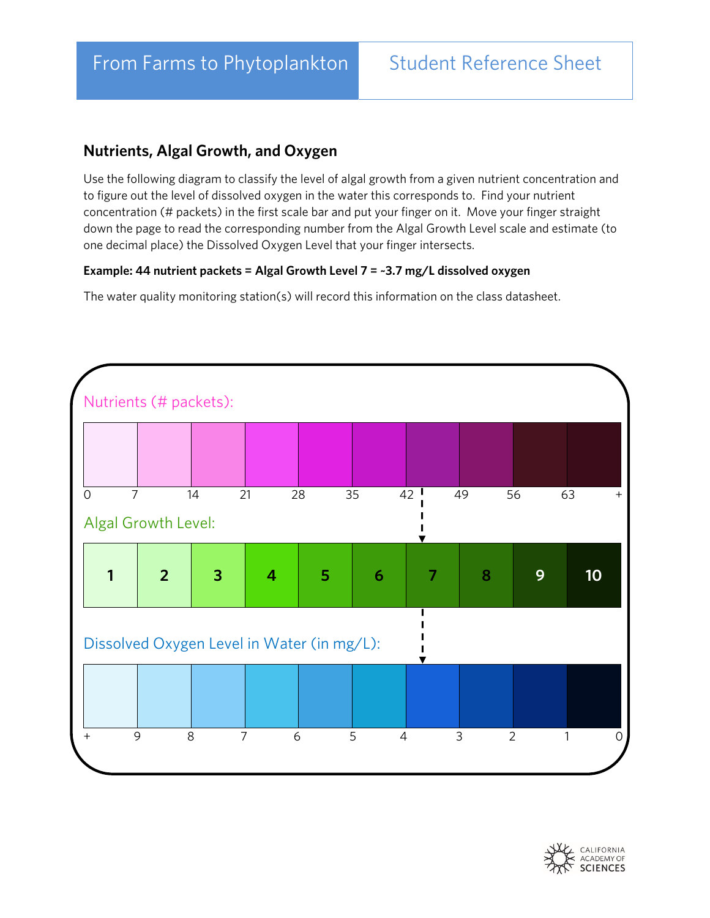## **Nutrients, Algal Growth, and Oxygen**

Use the following diagram to classify the level of algal growth from a given nutrient concentration and to figure out the level of dissolved oxygen in the water this corresponds to. Find your nutrient concentration (# packets) in the first scale bar and put your finger on it. Move your finger straight down the page to read the corresponding number from the Algal Growth Level scale and estimate (to one decimal place) the Dissolved Oxygen Level that your finger intersects.

## **Example: 44 nutrient packets = Algal Growth Level 7 = ~3.7 mg/L dissolved oxygen**

The water quality monitoring station(s) will record this information on the class datasheet.